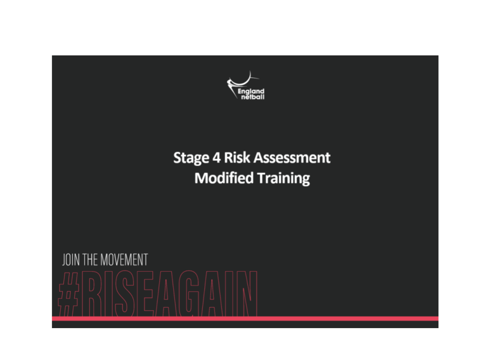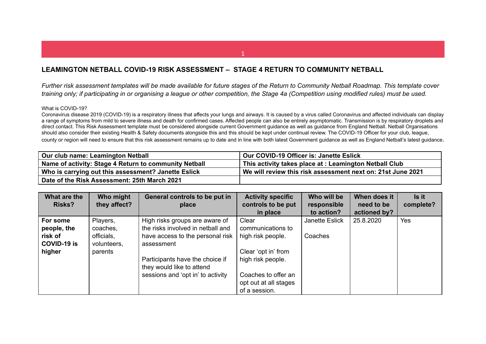## **LEAMINGTON NETBALL COVID-19 RISK ASSESSMENT – STAGE 4 RETURN TO COMMUNITY NETBALL**

Further risk assessment templates will be made available for future stages of the Return to Community Netball Roadmap. This template cover training only; if participating in or organising a league or other competition, the Stage 4a (Competition using modified rules) must be used.

## What is COVID-19?

Coronavirus disease 2019 (COVID-19) is a respiratory illness that affects your lungs and airways. It is caused by a virus called Coronavirus and affected individuals can display a range of symptoms from mild to severe illness and death for confirmed cases. Affected people can also be entirely asymptomatic. Transmission is by respiratory droplets and direct contact. This Risk Assessment template must be considered alongside current Government guidance as well as guidance from England Netball. Netball Organisations should also consider their existing Health & Safety documents alongside this and this should be kept under continual review. The COVID-19 Officer for your club, league, county or region will need to ensure that this risk assessment remains up to date and in line with both latest Government guidance as well as England Netball's latest guidance.

| Our club name: Leamington Netball                     | Our COVID-19 Officer is: Janette Eslick                     |
|-------------------------------------------------------|-------------------------------------------------------------|
| Name of activity: Stage 4 Return to community Netball | This activity takes place at : Leamington Netball Club      |
| Who is carrying out this assessment? Janette Eslick   | We will review this risk assessment next on: 21st June 2021 |
| Date of the Risk Assessment: 25th March 2021          |                                                             |

| What are the       | Who might    | General controls to be put in     | <b>Activity specific</b> | Who will be    | When does it | Is it     |
|--------------------|--------------|-----------------------------------|--------------------------|----------------|--------------|-----------|
| <b>Risks?</b>      | they affect? | place                             | controls to be put       | responsible    | need to be   | complete? |
|                    |              |                                   | in place                 | to action?     | actioned by? |           |
| For some           | Players,     | High risks groups are aware of    | Clear                    | Janette Eslick | 25.8.2020    | Yes       |
| people, the        | coaches,     | the risks involved in netball and | communications to        |                |              |           |
| risk of            | officials,   | have access to the personal risk  | high risk people.        | Coaches        |              |           |
| <b>COVID-19 is</b> | volunteers,  | assessment                        |                          |                |              |           |
| higher             | parents      |                                   | Clear 'opt in' from      |                |              |           |
|                    |              | Participants have the choice if   | high risk people.        |                |              |           |
|                    |              | they would like to attend         |                          |                |              |           |
|                    |              | sessions and 'opt in' to activity | Coaches to offer an      |                |              |           |
|                    |              |                                   | opt out at all stages    |                |              |           |
|                    |              |                                   | of a session.            |                |              |           |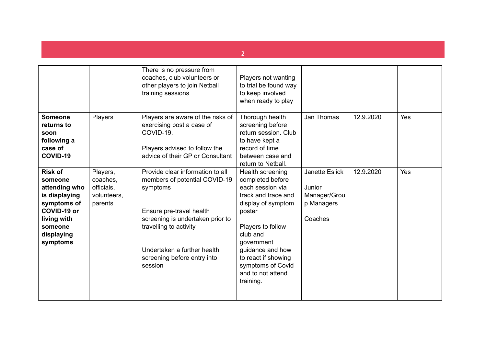|                                                                                                                                               |                                                              | There is no pressure from<br>coaches, club volunteers or<br>other players to join Netball<br>training sessions                                                                                                                                   | Players not wanting<br>to trial be found way<br>to keep involved<br>when ready to play                                                                                                                                                                           |                                                                   |           |     |
|-----------------------------------------------------------------------------------------------------------------------------------------------|--------------------------------------------------------------|--------------------------------------------------------------------------------------------------------------------------------------------------------------------------------------------------------------------------------------------------|------------------------------------------------------------------------------------------------------------------------------------------------------------------------------------------------------------------------------------------------------------------|-------------------------------------------------------------------|-----------|-----|
| <b>Someone</b><br>returns to<br>soon<br>following a<br>case of<br>COVID-19                                                                    | Players                                                      | Players are aware of the risks of<br>exercising post a case of<br>COVID-19.<br>Players advised to follow the<br>advice of their GP or Consultant                                                                                                 | Thorough health<br>screening before<br>return session. Club<br>to have kept a<br>record of time<br>between case and<br>return to Netball.                                                                                                                        | Jan Thomas                                                        | 12.9.2020 | Yes |
| <b>Risk of</b><br>someone<br>attending who<br>is displaying<br>symptoms of<br>COVID-19 or<br>living with<br>someone<br>displaying<br>symptoms | Players,<br>coaches,<br>officials,<br>volunteers,<br>parents | Provide clear information to all<br>members of potential COVID-19<br>symptoms<br>Ensure pre-travel health<br>screening is undertaken prior to<br>travelling to activity<br>Undertaken a further health<br>screening before entry into<br>session | Health screening<br>completed before<br>each session via<br>track and trace and<br>display of symptom<br>poster<br>Players to follow<br>club and<br>government<br>guidance and how<br>to react if showing<br>symptoms of Covid<br>and to not attend<br>training. | Janette Eslick<br>Junior<br>Manager/Grou<br>p Managers<br>Coaches | 12.9.2020 | Yes |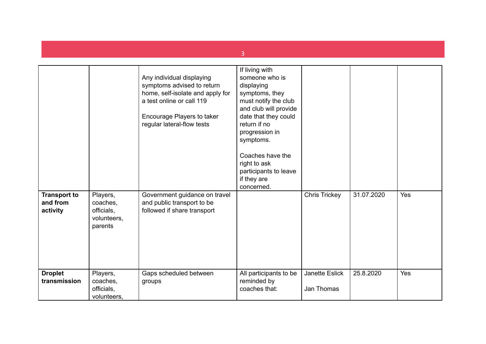|                                             |                                                              | Any individual displaying<br>symptoms advised to return<br>home, self-isolate and apply for<br>a test online or call 119<br>Encourage Players to taker<br>regular lateral-flow tests | If living with<br>someone who is<br>displaying<br>symptoms, they<br>must notify the club<br>and club will provide<br>date that they could<br>return if no<br>progression in<br>symptoms.<br>Coaches have the<br>right to ask<br>participants to leave<br>if they are<br>concerned. |                              |            |     |
|---------------------------------------------|--------------------------------------------------------------|--------------------------------------------------------------------------------------------------------------------------------------------------------------------------------------|------------------------------------------------------------------------------------------------------------------------------------------------------------------------------------------------------------------------------------------------------------------------------------|------------------------------|------------|-----|
| <b>Transport to</b><br>and from<br>activity | Players,<br>coaches,<br>officials,<br>volunteers,<br>parents | Government guidance on travel<br>and public transport to be<br>followed if share transport                                                                                           |                                                                                                                                                                                                                                                                                    | Chris Trickey                | 31.07.2020 | Yes |
| <b>Droplet</b><br>transmission              | Players,<br>coaches,<br>officials,<br>volunteers.            | Gaps scheduled between<br>groups                                                                                                                                                     | All participants to be<br>reminded by<br>coaches that:                                                                                                                                                                                                                             | Janette Eslick<br>Jan Thomas | 25.8.2020  | Yes |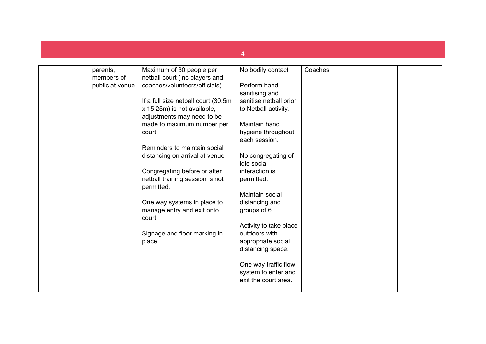| parents,        | Maximum of 30 people per                      | No bodily contact      | Coaches |  |
|-----------------|-----------------------------------------------|------------------------|---------|--|
| members of      | netball court (inc players and                |                        |         |  |
| public at venue | coaches/volunteers/officials)                 | Perform hand           |         |  |
|                 |                                               | sanitising and         |         |  |
|                 | If a full size netball court (30.5m)          | sanitise netball prior |         |  |
|                 | x 15.25m) is not available,                   | to Netball activity.   |         |  |
|                 | adjustments may need to be                    |                        |         |  |
|                 | made to maximum number per                    | Maintain hand          |         |  |
|                 | court                                         | hygiene throughout     |         |  |
|                 |                                               | each session.          |         |  |
|                 | Reminders to maintain social                  |                        |         |  |
|                 | distancing on arrival at venue                | No congregating of     |         |  |
|                 |                                               | idle social            |         |  |
|                 | Congregating before or after                  | interaction is         |         |  |
|                 | netball training session is not<br>permitted. | permitted.             |         |  |
|                 |                                               | Maintain social        |         |  |
|                 | One way systems in place to                   | distancing and         |         |  |
|                 | manage entry and exit onto<br>court           | groups of 6.           |         |  |
|                 |                                               | Activity to take place |         |  |
|                 | Signage and floor marking in                  | outdoors with          |         |  |
|                 | place.                                        | appropriate social     |         |  |
|                 |                                               | distancing space.      |         |  |
|                 |                                               | One way traffic flow   |         |  |
|                 |                                               | system to enter and    |         |  |
|                 |                                               | exit the court area.   |         |  |
|                 |                                               |                        |         |  |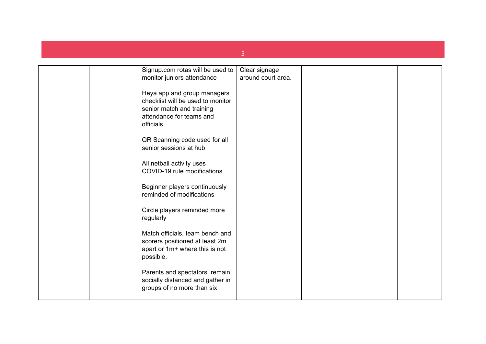|                                                                                                                                        | 5                  |  |  |
|----------------------------------------------------------------------------------------------------------------------------------------|--------------------|--|--|
|                                                                                                                                        |                    |  |  |
| Signup.com rotas will be used to                                                                                                       | Clear signage      |  |  |
| monitor juniors attendance                                                                                                             | around court area. |  |  |
| Heya app and group managers<br>checklist will be used to monitor<br>senior match and training<br>attendance for teams and<br>officials |                    |  |  |
| QR Scanning code used for all<br>senior sessions at hub                                                                                |                    |  |  |
| All netball activity uses<br>COVID-19 rule modifications                                                                               |                    |  |  |
| Beginner players continuously<br>reminded of modifications                                                                             |                    |  |  |
| Circle players reminded more<br>regularly                                                                                              |                    |  |  |
| Match officials, team bench and<br>scorers positioned at least 2m<br>apart or 1m+ where this is not<br>possible.                       |                    |  |  |
| Parents and spectators remain<br>socially distanced and gather in<br>groups of no more than six                                        |                    |  |  |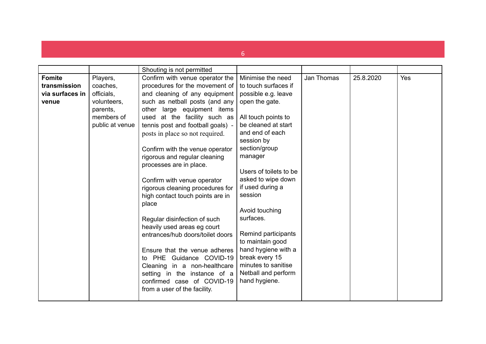|                 |                 | Shouting is not permitted                                       |                             |            |           |     |
|-----------------|-----------------|-----------------------------------------------------------------|-----------------------------|------------|-----------|-----|
| <b>Fomite</b>   | Players,        | Confirm with venue operator the                                 | Minimise the need           | Jan Thomas | 25.8.2020 | Yes |
| transmission    | coaches,        | procedures for the movement of                                  | to touch surfaces if        |            |           |     |
| via surfaces in | officials,      | and cleaning of any equipment                                   | possible e.g. leave         |            |           |     |
| venue           | volunteers,     | such as netball posts (and any                                  | open the gate.              |            |           |     |
|                 | parents,        | other large equipment items                                     |                             |            |           |     |
|                 | members of      | used at the facility such as                                    | All touch points to         |            |           |     |
|                 | public at venue | tennis post and football goals) -                               | be cleaned at start         |            |           |     |
|                 |                 | posts in place so not required.                                 | and end of each             |            |           |     |
|                 |                 |                                                                 | session by                  |            |           |     |
|                 |                 | Confirm with the venue operator                                 | section/group               |            |           |     |
|                 |                 | rigorous and regular cleaning                                   | manager                     |            |           |     |
|                 |                 | processes are in place.                                         |                             |            |           |     |
|                 |                 |                                                                 | Users of toilets to be.     |            |           |     |
|                 |                 | Confirm with venue operator                                     | asked to wipe down          |            |           |     |
|                 |                 | rigorous cleaning procedures for                                | if used during a            |            |           |     |
|                 |                 | high contact touch points are in                                | session                     |            |           |     |
|                 |                 | place                                                           |                             |            |           |     |
|                 |                 |                                                                 | Avoid touching<br>surfaces. |            |           |     |
|                 |                 | Regular disinfection of such                                    |                             |            |           |     |
|                 |                 | heavily used areas eg court<br>entrances/hub doors/toilet doors | Remind participants         |            |           |     |
|                 |                 |                                                                 | to maintain good            |            |           |     |
|                 |                 | Ensure that the venue adheres                                   | hand hygiene with a         |            |           |     |
|                 |                 | to PHE Guidance COVID-19                                        | break every 15              |            |           |     |
|                 |                 | Cleaning in a non-healthcare                                    | minutes to sanitise         |            |           |     |
|                 |                 | setting in the instance of a                                    | Netball and perform         |            |           |     |
|                 |                 | confirmed case of COVID-19                                      | hand hygiene.               |            |           |     |
|                 |                 | from a user of the facility.                                    |                             |            |           |     |
|                 |                 |                                                                 |                             |            |           |     |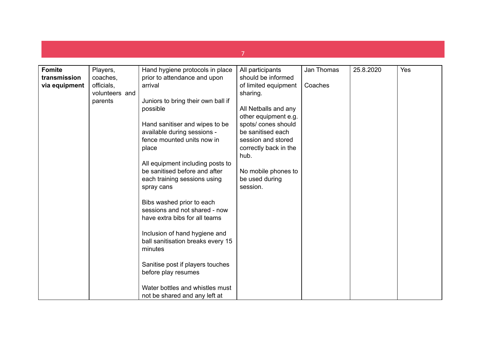| <b>Fomite</b> | Players,       | Hand hygiene protocols in place    | All participants      | Jan Thomas | 25.8.2020 | Yes |
|---------------|----------------|------------------------------------|-----------------------|------------|-----------|-----|
| transmission  | coaches,       | prior to attendance and upon       | should be informed    |            |           |     |
| via equipment | officials,     | arrival                            | of limited equipment  | Coaches    |           |     |
|               | volunteers and |                                    | sharing.              |            |           |     |
|               | parents        | Juniors to bring their own ball if |                       |            |           |     |
|               |                | possible                           | All Netballs and any  |            |           |     |
|               |                |                                    | other equipment e.g.  |            |           |     |
|               |                | Hand sanitiser and wipes to be     | spots/ cones should   |            |           |     |
|               |                | available during sessions -        | be sanitised each     |            |           |     |
|               |                | fence mounted units now in         | session and stored    |            |           |     |
|               |                | place                              | correctly back in the |            |           |     |
|               |                |                                    | hub.                  |            |           |     |
|               |                | All equipment including posts to   |                       |            |           |     |
|               |                | be sanitised before and after      | No mobile phones to   |            |           |     |
|               |                | each training sessions using       | be used during        |            |           |     |
|               |                | spray cans                         | session.              |            |           |     |
|               |                |                                    |                       |            |           |     |
|               |                | Bibs washed prior to each          |                       |            |           |     |
|               |                | sessions and not shared - now      |                       |            |           |     |
|               |                | have extra bibs for all teams      |                       |            |           |     |
|               |                |                                    |                       |            |           |     |
|               |                | Inclusion of hand hygiene and      |                       |            |           |     |
|               |                | ball sanitisation breaks every 15  |                       |            |           |     |
|               |                | minutes                            |                       |            |           |     |
|               |                |                                    |                       |            |           |     |
|               |                | Sanitise post if players touches   |                       |            |           |     |
|               |                | before play resumes                |                       |            |           |     |
|               |                |                                    |                       |            |           |     |
|               |                | Water bottles and whistles must    |                       |            |           |     |
|               |                | not be shared and any left at      |                       |            |           |     |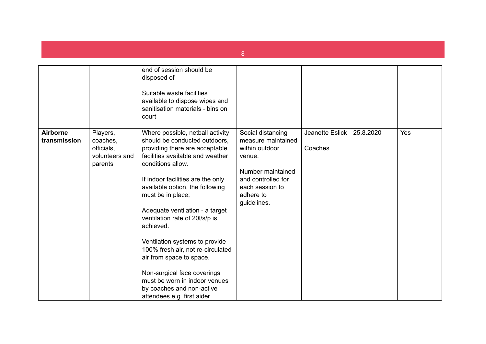|                                 |                                                                 | end of session should be<br>disposed of<br>Suitable waste facilities<br>available to dispose wipes and<br>sanitisation materials - bins on<br>court                                                                                                                                                                                                                                                                                                                                                                                                                       |                                                                                                                                                               |                            |           |     |
|---------------------------------|-----------------------------------------------------------------|---------------------------------------------------------------------------------------------------------------------------------------------------------------------------------------------------------------------------------------------------------------------------------------------------------------------------------------------------------------------------------------------------------------------------------------------------------------------------------------------------------------------------------------------------------------------------|---------------------------------------------------------------------------------------------------------------------------------------------------------------|----------------------------|-----------|-----|
| <b>Airborne</b><br>transmission | Players,<br>coaches,<br>officials,<br>volunteers and<br>parents | Where possible, netball activity<br>should be conducted outdoors,<br>providing there are acceptable<br>facilities available and weather<br>conditions allow.<br>If indoor facilities are the only<br>available option, the following<br>must be in place;<br>Adequate ventilation - a target<br>ventilation rate of 20I/s/p is<br>achieved.<br>Ventilation systems to provide<br>100% fresh air, not re-circulated<br>air from space to space.<br>Non-surgical face coverings<br>must be worn in indoor venues<br>by coaches and non-active<br>attendees e.g. first aider | Social distancing<br>measure maintained<br>within outdoor<br>venue.<br>Number maintained<br>and controlled for<br>each session to<br>adhere to<br>guidelines. | Jeanette Eslick<br>Coaches | 25.8.2020 | Yes |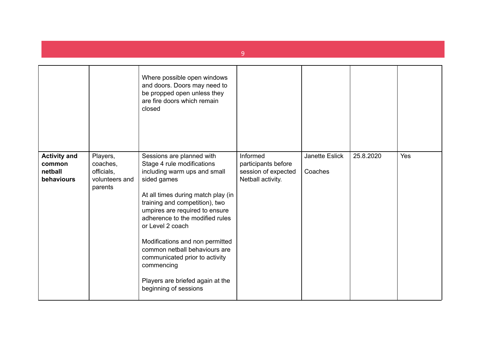|                                                        |                                                                 | Where possible open windows<br>and doors. Doors may need to<br>be propped open unless they<br>are fire doors which remain<br>closed                                                                                                                                                                                                                                                                                                                      |                                                                             |                           |           |     |
|--------------------------------------------------------|-----------------------------------------------------------------|----------------------------------------------------------------------------------------------------------------------------------------------------------------------------------------------------------------------------------------------------------------------------------------------------------------------------------------------------------------------------------------------------------------------------------------------------------|-----------------------------------------------------------------------------|---------------------------|-----------|-----|
| <b>Activity and</b><br>common<br>netball<br>behaviours | Players,<br>coaches,<br>officials,<br>volunteers and<br>parents | Sessions are planned with<br>Stage 4 rule modifications<br>including warm ups and small<br>sided games<br>At all times during match play (in<br>training and competition), two<br>umpires are required to ensure<br>adherence to the modified rules<br>or Level 2 coach<br>Modifications and non permitted<br>common netball behaviours are<br>communicated prior to activity<br>commencing<br>Players are briefed again at the<br>beginning of sessions | Informed<br>participants before<br>session of expected<br>Netball activity. | Janette Eslick<br>Coaches | 25.8.2020 | Yes |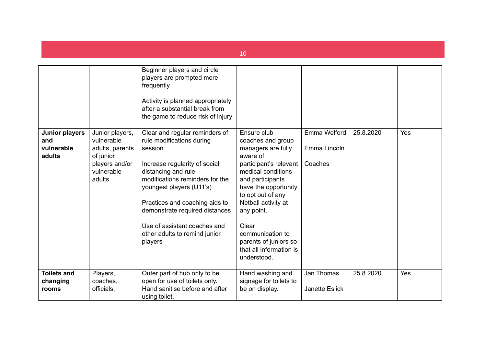|                                               |                                                                                                         |                                                                                                                                                                                                                                                                                                                                                                                                                                                                                                                                     | 10                                                                                                                                                                                                                                                                                                        |                                         |           |     |
|-----------------------------------------------|---------------------------------------------------------------------------------------------------------|-------------------------------------------------------------------------------------------------------------------------------------------------------------------------------------------------------------------------------------------------------------------------------------------------------------------------------------------------------------------------------------------------------------------------------------------------------------------------------------------------------------------------------------|-----------------------------------------------------------------------------------------------------------------------------------------------------------------------------------------------------------------------------------------------------------------------------------------------------------|-----------------------------------------|-----------|-----|
| Junior players<br>and<br>vulnerable<br>adults | Junior players,<br>vulnerable<br>adults, parents<br>of junior<br>players and/or<br>vulnerable<br>adults | Beginner players and circle<br>players are prompted more<br>frequently<br>Activity is planned appropriately<br>after a substantial break from<br>the game to reduce risk of injury<br>Clear and regular reminders of<br>rule modifications during<br>session<br>Increase regularity of social<br>distancing and rule<br>modifications reminders for the<br>youngest players (U11's)<br>Practices and coaching aids to<br>demonstrate required distances<br>Use of assistant coaches and<br>other adults to remind junior<br>players | Ensure club<br>coaches and group<br>managers are fully<br>aware of<br>participant's relevant<br>medical conditions<br>and participants<br>have the opportunity<br>to opt out of any<br>Netball activity at<br>any point.<br>Clear<br>communication to<br>parents of juniors so<br>that all information is | Emma Welford<br>Emma Lincoln<br>Coaches | 25.8.2020 | Yes |
| <b>Toilets and</b><br>changing<br>rooms       | Players,<br>coaches,<br>officials,                                                                      | Outer part of hub only to be<br>open for use of toilets only.<br>Hand sanitise before and after<br>using toilet.                                                                                                                                                                                                                                                                                                                                                                                                                    | understood.<br>Hand washing and<br>signage for toilets to<br>be on display.                                                                                                                                                                                                                               | Jan Thomas<br><b>Janette Eslick</b>     | 25.8.2020 | Yes |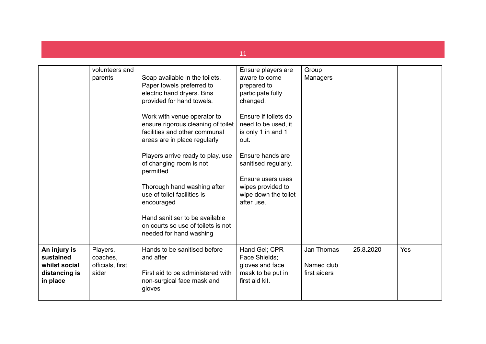|                                                                         | volunteers and<br>parents                         | Soap available in the toilets.<br>Paper towels preferred to<br>electric hand dryers. Bins<br>provided for hand towels.<br>Work with venue operator to<br>ensure rigorous cleaning of toilet<br>facilities and other communal<br>areas are in place regularly<br>Players arrive ready to play, use<br>of changing room is not<br>permitted<br>Thorough hand washing after<br>use of toilet facilities is<br>encouraged<br>Hand sanitiser to be available<br>on courts so use of toilets is not<br>needed for hand washing | Ensure players are<br>aware to come<br>prepared to<br>participate fully<br>changed.<br>Ensure if toilets do<br>need to be used, it<br>is only 1 in and 1<br>out.<br>Ensure hands are<br>sanitised regularly.<br>Ensure users uses<br>wipes provided to<br>wipe down the toilet<br>after use. | Group<br>Managers                        |           |     |
|-------------------------------------------------------------------------|---------------------------------------------------|--------------------------------------------------------------------------------------------------------------------------------------------------------------------------------------------------------------------------------------------------------------------------------------------------------------------------------------------------------------------------------------------------------------------------------------------------------------------------------------------------------------------------|----------------------------------------------------------------------------------------------------------------------------------------------------------------------------------------------------------------------------------------------------------------------------------------------|------------------------------------------|-----------|-----|
| An injury is<br>sustained<br>whilst social<br>distancing is<br>in place | Players,<br>coaches,<br>officials, first<br>aider | Hands to be sanitised before<br>and after<br>First aid to be administered with<br>non-surgical face mask and<br>gloves                                                                                                                                                                                                                                                                                                                                                                                                   | Hand Gel; CPR<br>Face Shields;<br>gloves and face<br>mask to be put in<br>first aid kit.                                                                                                                                                                                                     | Jan Thomas<br>Named club<br>first aiders | 25.8.2020 | Yes |